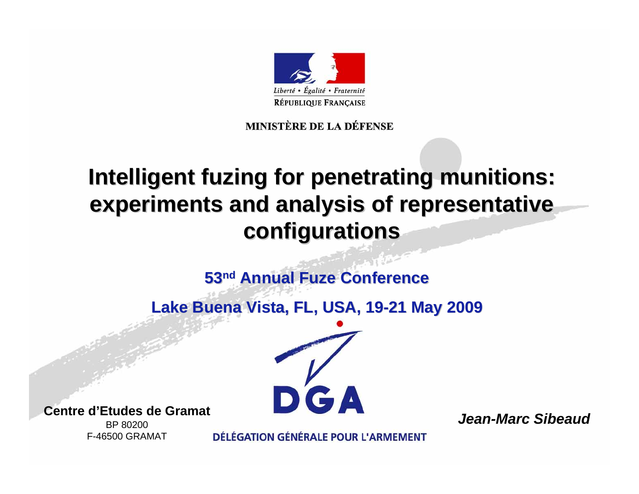

#### MINISTÈRE DE LA DÉFENSE

# **Intelligent fuzing for penetrating munitions:** experiments and analysis of representative **configurations configurations**

#### **53nd Annual Fuze Conference**

**Lake Buena Vista, FL, USA, 19-21 May 2009** 

# Centre d'Etudes de Gramat **DCA**

F-46500 GRAMAT

DÉLÉGATION GÉNÉRALE POUR L'ARMEMENT

*Jean-Marc Sibeaud*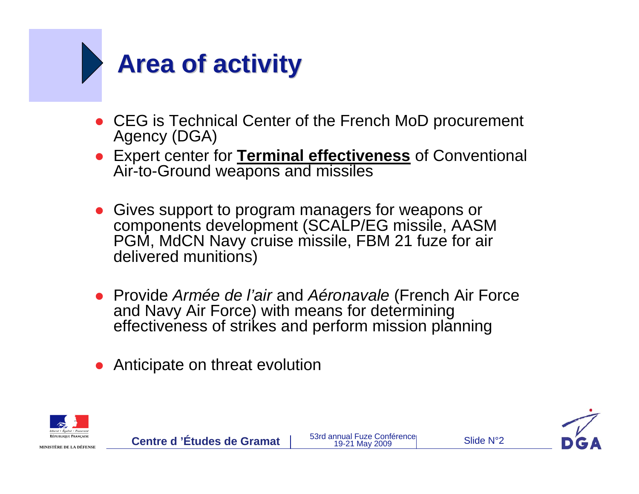

- CEG is Technical Center of the French MoD procurement Agency (DGA)
- Expert center for **Terminal effectiveness** of Conventional Air-to-Ground weapons and missiles
- $\bullet$  Gives support to program managers for weapons or components development (SCALP/EG missile, AASM PGM, MdCN Navy cruise missile, FBM 21 fuze for air delivered munitions)
- Provide *Armée de l'air* and *Aéronavale* (French Air Force and Navy Air Force) with means for determining effectiveness of strikes and perform mission planning
- $\bullet$ Anticipate on threat evolution

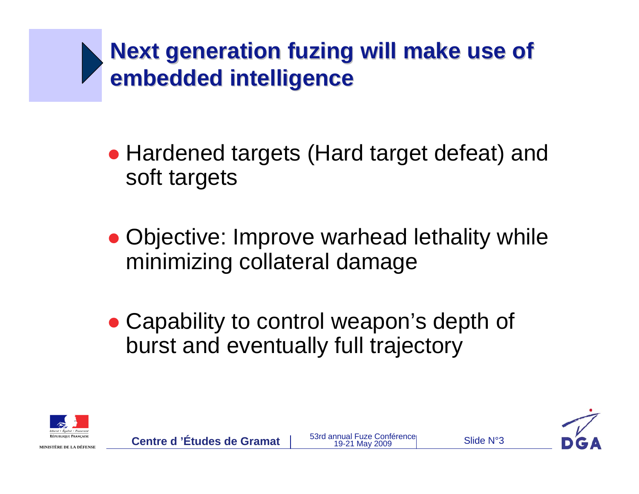# **Next generation fuzing will make use of embedded intelligence embedded intelligence**

- Hardened targets (Hard target defeat) and soft targets
- Objective: Improve warhead lethality while minimizing collateral damage
- Capability to control weapon's depth of burst and eventually full trajectory



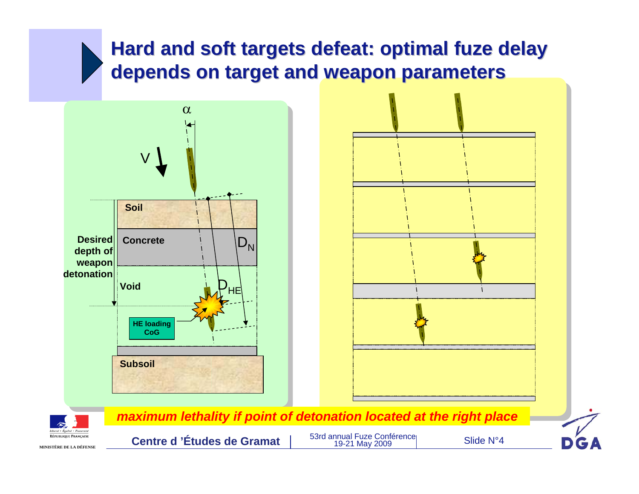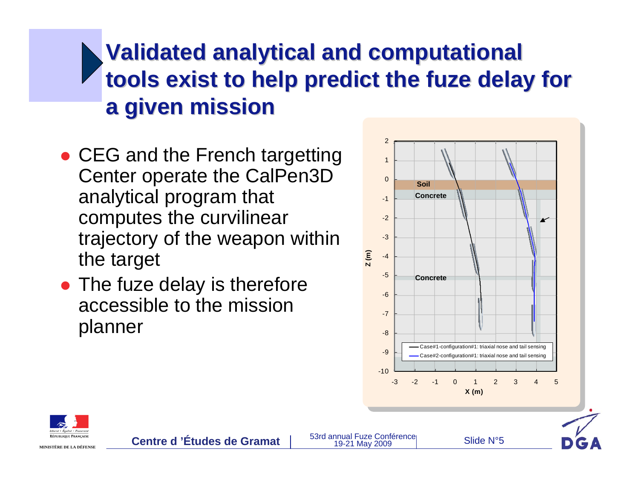# **Validated analytical and computational tools exist to help predict the fuze delay for a given mission**

- CEG and the French targetting Center operate the CalPen3D analytical program that computes the curvilinear trajectory of the weapon within the target
- The fuze delay is therefore accessible to the mission planner





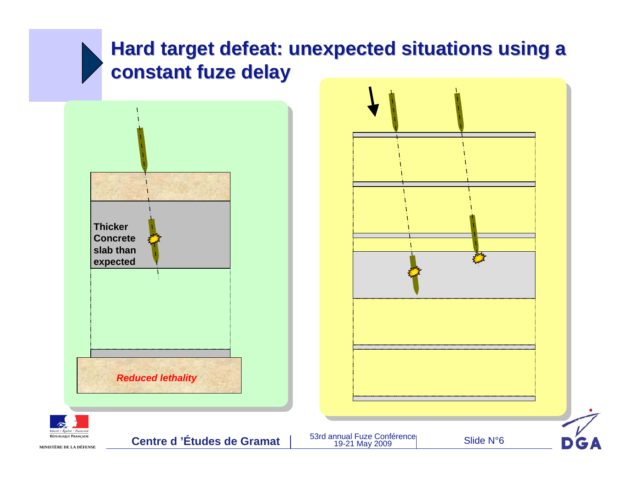#### **Hard target defeat: unexpected situations using a constant fuze delay**

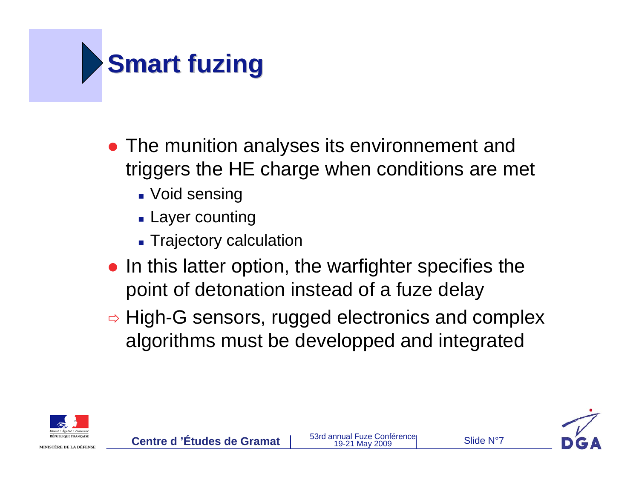

- **The munition analyses its environnement and** triggers the HE charge when conditions are met
	- Void sensing
	- Layer counting
	- **Example Trajectory calculation**
- In this latter option, the warfighter specifies the point of detonation instead of a fuze delay
- $\Rightarrow$  High-G sensors, rugged electronics and complex algorithms must be developped and integrated



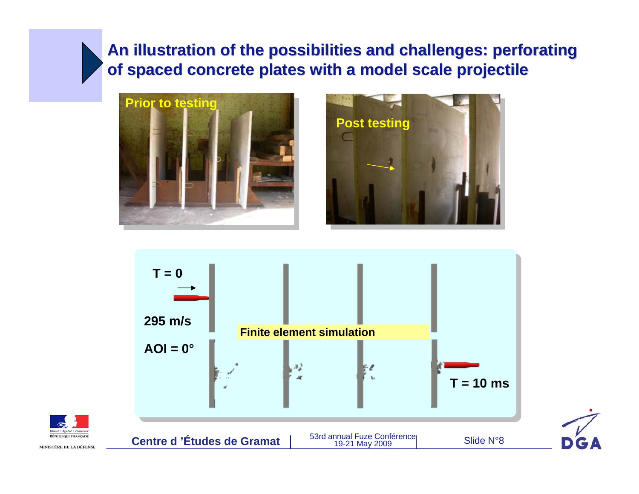#### **An illustration of the possibilities and challenges: perforating of spaced concrete plates with a model scale projectile**







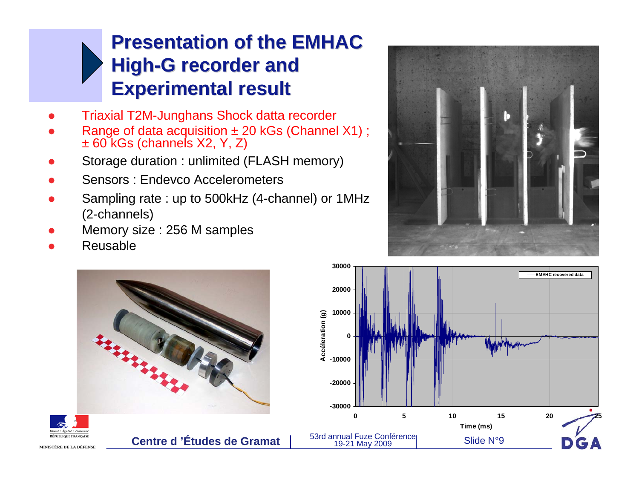### **Presentation of the EMHAC High-G recorder and Experimental result**

- 0 Triaxial T2M-Junghans Shock datta recorder
- 0 Range of data acquisition  $\pm 20$  kGs (Channel X1); ± 60 kGs (channels X2, Y, Z)
- 0 Storage duration : unlimited (FLASH memory)
- 0 Sensors : Endevco Accelerometers
- 0 Sampling rate : up to 500kHz (4-channel) or 1MHz (2-channels)
- 0 Memory size : 256 M samples
- 0 Reusable







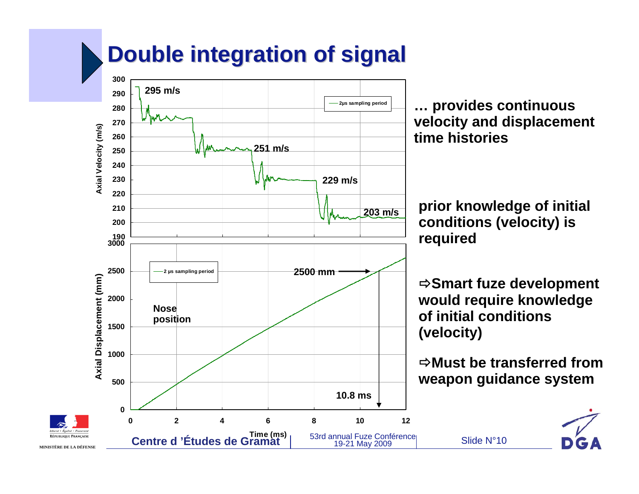# **Double integration of signal**

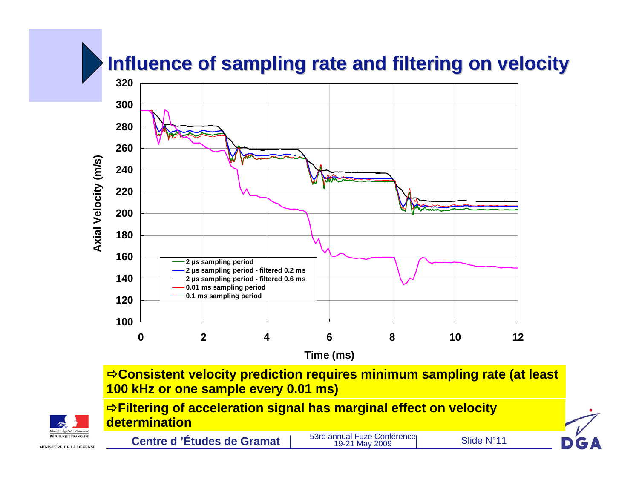## **Influence of sampling rate and filtering on velocity**



**Consistent velocity prediction requires minimum sampling rate (at least 100 kHz or one sample every 0.01 ms)**

**Filtering of acceleration signal has marginal effect on velocity determination**



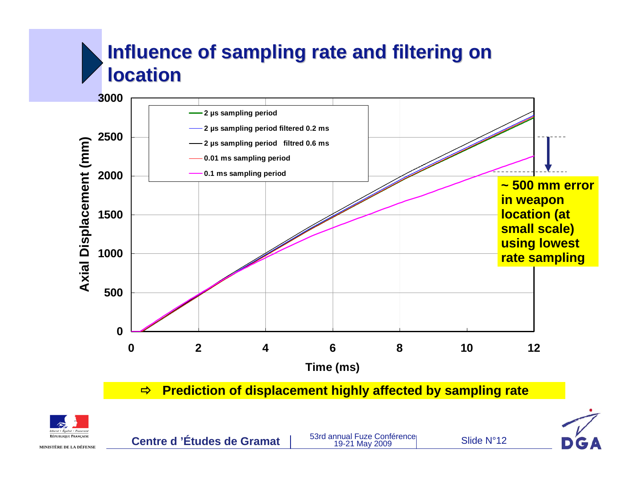## **Influence of sampling rate and filtering on location location**





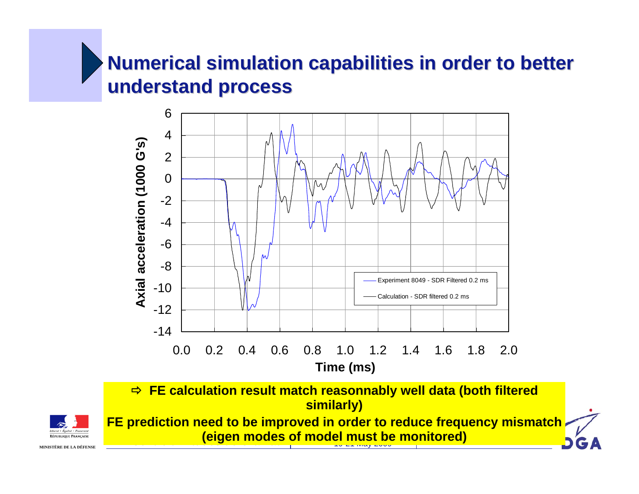# **Numerical simulation capabilities in order to better understand understand process process**



 **FE calculation result match reasonnably well data (both filtered similarly)** 



**CREAR CONFERENCE CONFÉRENCE 2009 SERVICAL SPANE CONFÉRENCE CONFÉRENCE CONFÉRENCE 2009 SERVICE CONFÉRENCE DE LA DÉFENSEE DE LA DÉFENSEE DE LA DÉFENSEE DE LA DÉFENSEE DE LA DÉFENSEE DE LA DÉFENSEE DE LA DÉFENSEE DE LA DÉFEN FE prediction need to be improved in order to reduce frequency mismatch**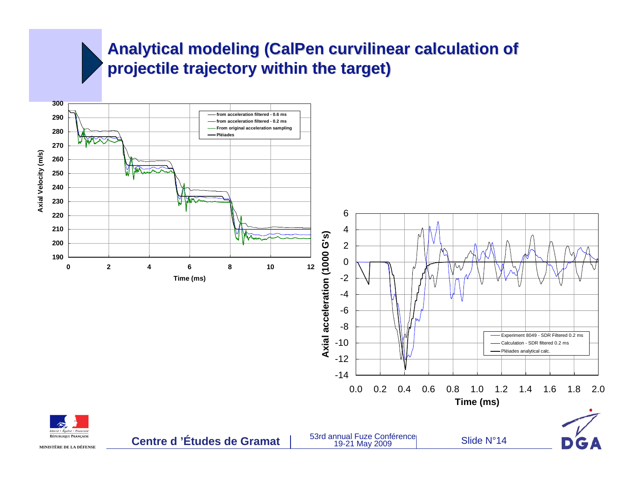#### **Analytical modeling (CalPen curvilinear calculation of projectile trajectory within the target)**

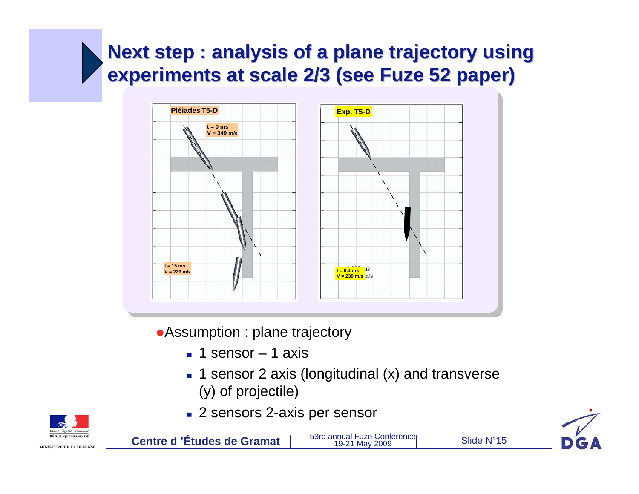### **Next step : analysis of a plane trajectory using experiments at scale 2/3 (see Fuze 52 paper)**



• Assumption : plane trajectory

- 1 sensor 1 axis
- **1** sensor 2 axis (longitudinal (x) and transverse (y) of projectile)
- 2 sensors 2-axis per sensor





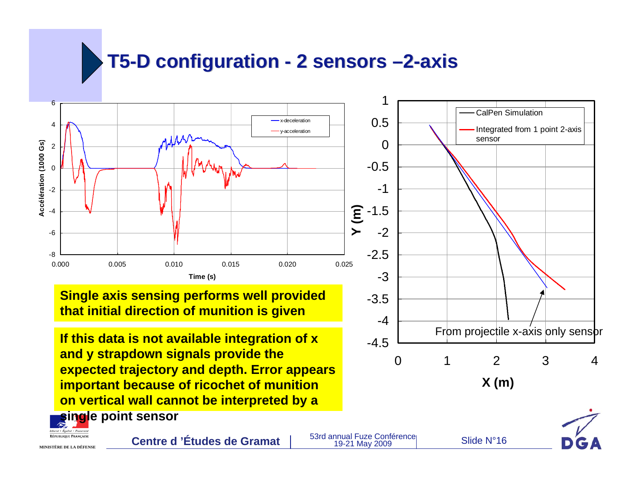# **T5-D configuration D configuration -2 sensors 2 sensors –2-axis**

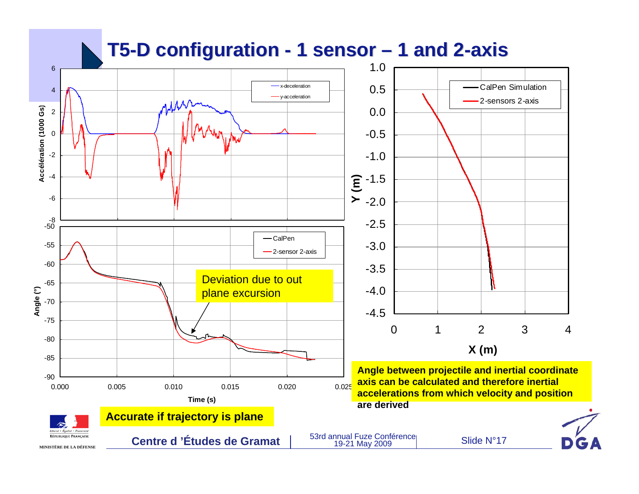#### **T5-D configuration - 1 sensor – 1 and 2-axis**

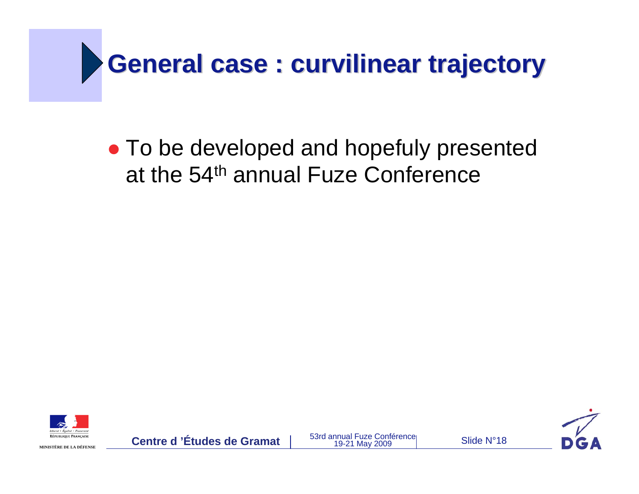

• To be developed and hopefuly presented at the 54th annual Fuze Conference